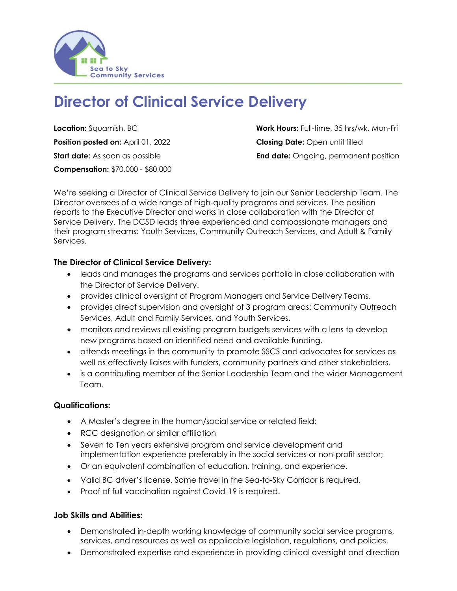

# **Director of Clinical Service Delivery**

**Position posted on:** April 01, 2022 **Closing Date:** Open until filled **Compensation:** \$70,000 - \$80,000

**Location:** Squamish, BC **Work Hours:** Full-time, 35 hrs/wk, Mon-Fri **Start date:** As soon as possible **End date:** Ongoing, permanent position

We're seeking a Director of Clinical Service Delivery to join our Senior Leadership Team. The Director oversees of a wide range of high-quality programs and services. The position reports to the Executive Director and works in close collaboration with the Director of Service Delivery. The DCSD leads three experienced and compassionate managers and their program streams: Youth Services, Community Outreach Services, and Adult & Family Services.

### **The Director of Clinical Service Delivery:**

- leads and manages the programs and services portfolio in close collaboration with the Director of Service Delivery.
- provides clinical oversight of Program Managers and Service Delivery Teams.
- provides direct supervision and oversight of 3 program areas: Community Outreach Services, Adult and Family Services, and Youth Services.
- monitors and reviews all existing program budgets services with a lens to develop new programs based on identified need and available funding.
- attends meetings in the community to promote SSCS and advocates for services as well as effectively liaises with funders, community partners and other stakeholders.
- is a contributing member of the Senior Leadership Team and the wider Management Team.

#### **Qualifications:**

- A Master's degree in the human/social service or related field;
- RCC designation or similar affiliation
- Seven to Ten years extensive program and service development and implementation experience preferably in the social services or non-profit sector;
- Or an equivalent combination of education, training, and experience.
- Valid BC driver's license. Some travel in the Sea-to-Sky Corridor is required.
- Proof of full vaccination against Covid-19 is required.

## **Job Skills and Abilities:**

- Demonstrated in-depth working knowledge of community social service programs, services, and resources as well as applicable legislation, regulations, and policies.
- Demonstrated expertise and experience in providing clinical oversight and direction